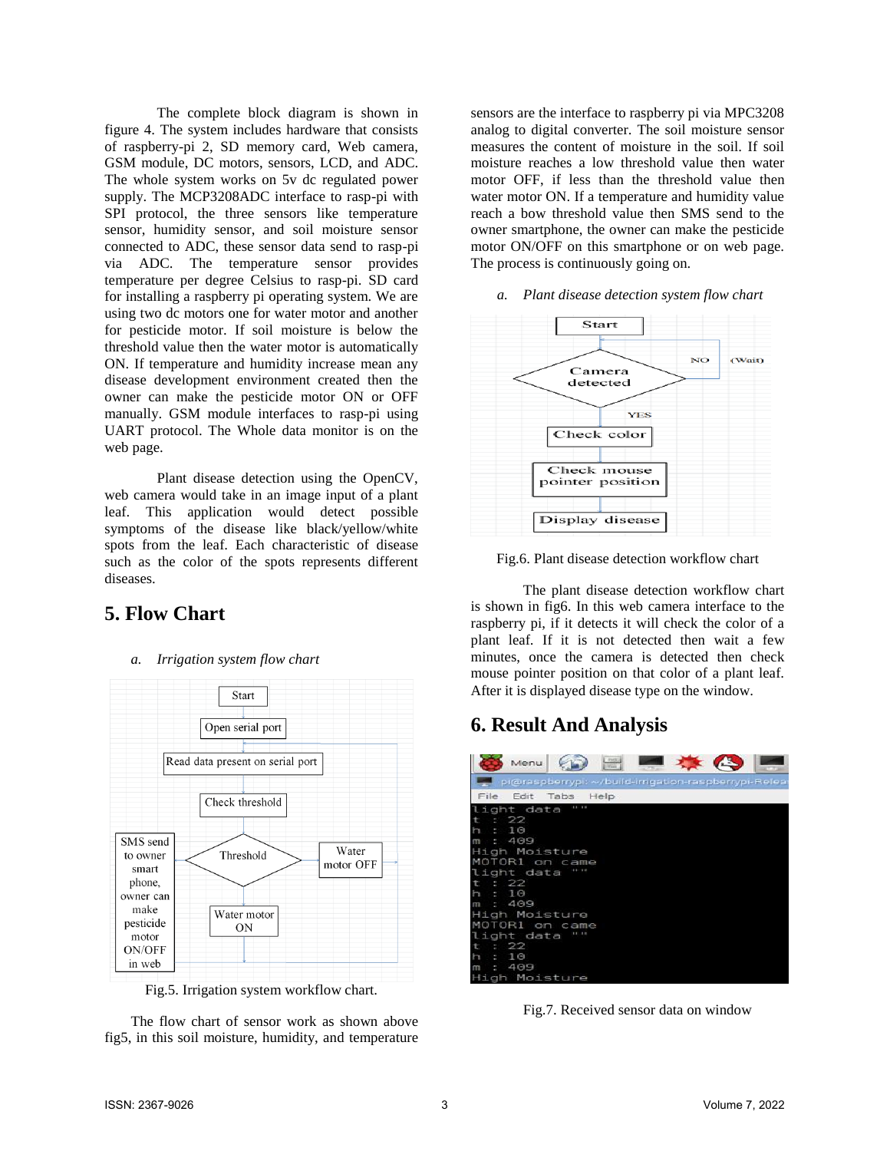The complete block diagram is shown in figure 4. The system includes hardware that consists of raspberry-pi 2, SD memory card, Web camera, GSM module, DC motors, sensors, LCD, and ADC. The whole system works on 5v dc regulated power supply. The MCP3208ADC interface to rasp-pi with SPI protocol, the three sensors like temperature sensor, humidity sensor, and soil moisture sensor connected to ADC, these sensor data send to rasp-pi via ADC. The temperature sensor provides temperature per degree Celsius to rasp-pi. SD card for installing a raspberry pi operating system. We are using two dc motors one for water motor and another for pesticide motor. If soil moisture is below the threshold value then the water motor is automatically ON. If temperature and humidity increase mean any disease development environment created then the owner can make the pesticide motor ON or OFF manually. GSM module interfaces to rasp-pi using UART protocol. The Whole data monitor is on the web page.

Plant disease detection using the OpenCV, web camera would take in an image input of a plant leaf. This application would detect possible symptoms of the disease like black/yellow/white spots from the leaf. Each characteristic of disease such as the color of the spots represents different diseases.

# **5. Flow Chart**

### *a. Irrigation system flow chart*



Fig.5. Irrigation system workflow chart.

The flow chart of sensor work as shown above fig5, in this soil moisture, humidity, and temperature sensors are the interface to raspberry pi via MPC3208 analog to digital converter. The soil moisture sensor measures the content of moisture in the soil. If soil moisture reaches a low threshold value then water motor OFF, if less than the threshold value then water motor ON. If a temperature and humidity value reach a bow threshold value then SMS send to the owner smartphone, the owner can make the pesticide motor ON/OFF on this smartphone or on web page. The process is continuously going on.

#### *a. Plant disease detection system flow chart*



Fig.6. Plant disease detection workflow chart

The plant disease detection workflow chart is shown in fig6. In this web camera interface to the raspberry pi, if it detects it will check the color of a plant leaf. If it is not detected then wait a few minutes, once the camera is detected then check mouse pointer position on that color of a plant leaf. After it is displayed disease type on the window.

# **6. Result And Analysis**



Fig.7. Received sensor data on window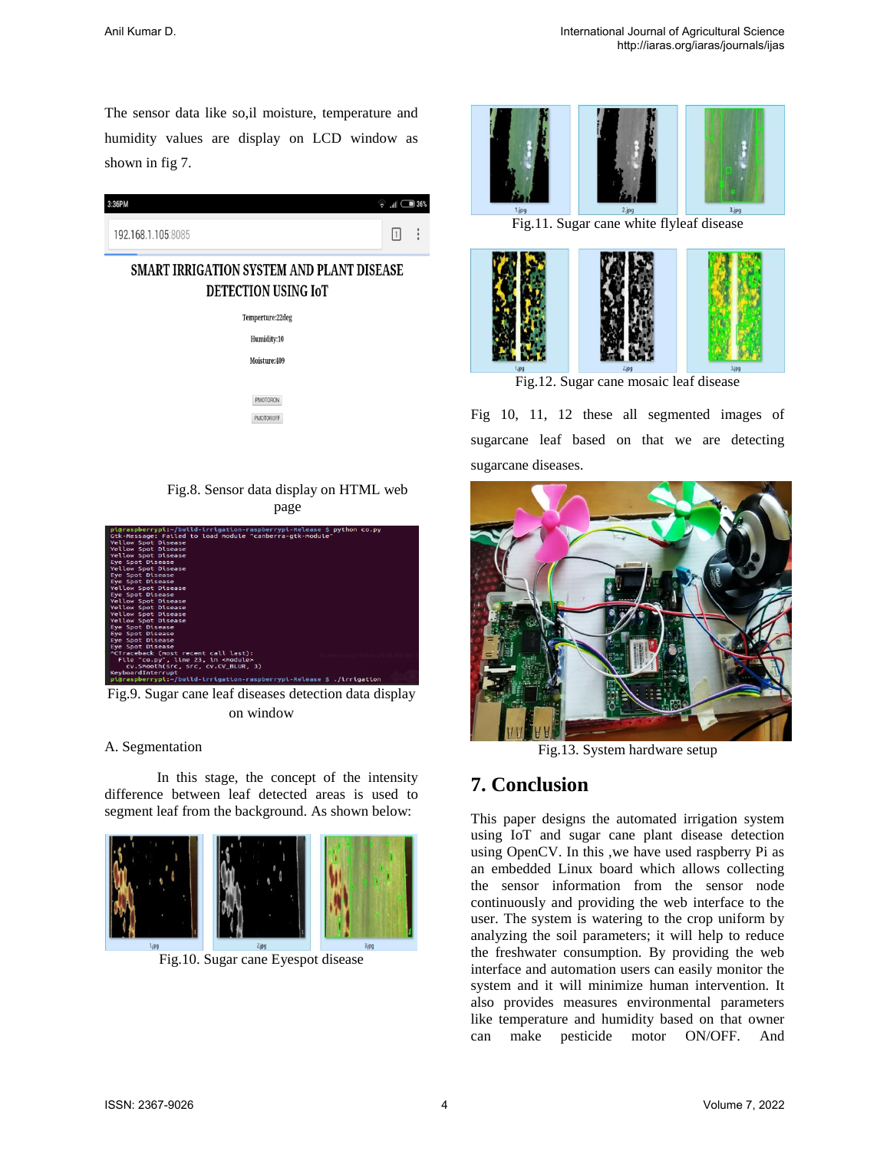The sensor data like so,il moisture, temperature and humidity values are display on LCD window as shown in fig 7.

| 3:36PM                                                                  | $\overline{1}$ $\overline{1}$ 36%<br>ឝ |               |
|-------------------------------------------------------------------------|----------------------------------------|---------------|
| 192.168.1.105:8085                                                      | 1                                      | $\frac{1}{2}$ |
| SMART IRRIGATION SYSTEM AND PLANT DISEASE<br><b>DETECTION USING IOT</b> |                                        |               |
| Temperture:22deg                                                        |                                        |               |
| Humidity:10                                                             |                                        |               |
| Moisture:409                                                            |                                        |               |
| PMOTORON<br>PMOTOROFF                                                   |                                        |               |
| T.<br>$\Omega$ $\Omega$<br>1.7.11.1<br>TIMB AT                          | $\mathbf{1}$                           |               |

Fig.8. Sensor data display on HTML web page



Fig.9. Sugar cane leaf diseases detection data display on window

#### A. Segmentation

In this stage, the concept of the intensity difference between leaf detected areas is used to segment leaf from the background. As shown below:



Fig.10. Sugar cane Eyespot disease



Fig.11. Sugar cane white flyleaf disease



Fig.12. Sugar cane mosaic leaf disease

Fig 10, 11, 12 these all segmented images of sugarcane leaf based on that we are detecting sugarcane diseases.



Fig.13. System hardware setup

## **7. Conclusion**

This paper designs the automated irrigation system using IoT and sugar cane plant disease detection using OpenCV. In this ,we have used raspberry Pi as an embedded Linux board which allows collecting the sensor information from the sensor node continuously and providing the web interface to the user. The system is watering to the crop uniform by analyzing the soil parameters; it will help to reduce the freshwater consumption. By providing the web interface and automation users can easily monitor the system and it will minimize human intervention. It also provides measures environmental parameters like temperature and humidity based on that owner can make pesticide motor ON/OFF. And